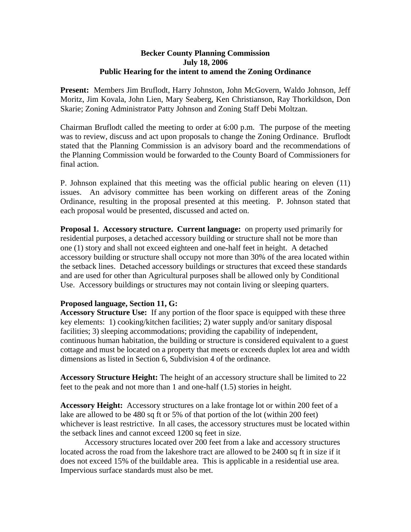## **Becker County Planning Commission July 18, 2006 Public Hearing for the intent to amend the Zoning Ordinance**

**Present:** Members Jim Bruflodt, Harry Johnston, John McGovern, Waldo Johnson, Jeff Moritz, Jim Kovala, John Lien, Mary Seaberg, Ken Christianson, Ray Thorkildson, Don Skarie; Zoning Administrator Patty Johnson and Zoning Staff Debi Moltzan.

Chairman Bruflodt called the meeting to order at 6:00 p.m. The purpose of the meeting was to review, discuss and act upon proposals to change the Zoning Ordinance. Bruflodt stated that the Planning Commission is an advisory board and the recommendations of the Planning Commission would be forwarded to the County Board of Commissioners for final action.

P. Johnson explained that this meeting was the official public hearing on eleven (11) issues. An advisory committee has been working on different areas of the Zoning Ordinance, resulting in the proposal presented at this meeting. P. Johnson stated that each proposal would be presented, discussed and acted on.

**Proposal 1. Accessory structure. Current language:** on property used primarily for residential purposes, a detached accessory building or structure shall not be more than one (1) story and shall not exceed eighteen and one-half feet in height. A detached accessory building or structure shall occupy not more than 30% of the area located within the setback lines. Detached accessory buildings or structures that exceed these standards and are used for other than Agricultural purposes shall be allowed only by Conditional Use. Accessory buildings or structures may not contain living or sleeping quarters.

## **Proposed language, Section 11, G:**

**Accessory Structure Use:** If any portion of the floor space is equipped with these three key elements: 1) cooking/kitchen facilities; 2) water supply and/or sanitary disposal facilities; 3) sleeping accommodations; providing the capability of independent, continuous human habitation, the building or structure is considered equivalent to a guest cottage and must be located on a property that meets or exceeds duplex lot area and width dimensions as listed in Section 6, Subdivision 4 of the ordinance.

**Accessory Structure Height:** The height of an accessory structure shall be limited to 22 feet to the peak and not more than 1 and one-half (1.5) stories in height.

**Accessory Height:** Accessory structures on a lake frontage lot or within 200 feet of a lake are allowed to be 480 sq ft or 5% of that portion of the lot (within 200 feet) whichever is least restrictive. In all cases, the accessory structures must be located within the setback lines and cannot exceed 1200 sq feet in size.

Accessory structures located over 200 feet from a lake and accessory structures located across the road from the lakeshore tract are allowed to be 2400 sq ft in size if it does not exceed 15% of the buildable area. This is applicable in a residential use area. Impervious surface standards must also be met.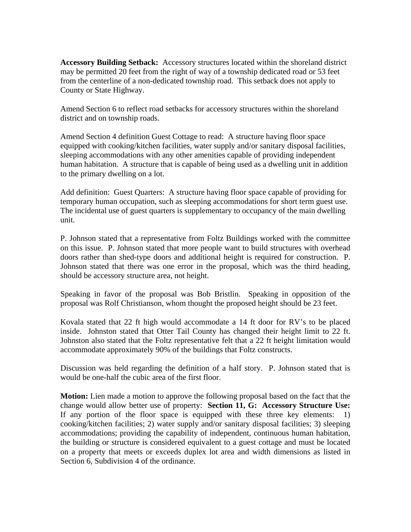**Accessory Building Setback:** Accessory structures located within the shoreland district may be permitted 20 feet from the right of way of a township dedicated road or 53 feet from the centerline of a non-dedicated township road. This setback does not apply to County or State Highway.

Amend Section 6 to reflect road setbacks for accessory structures within the shoreland district and on township roads.

Amend Section 4 definition Guest Cottage to read: A structure having floor space equipped with cooking/kitchen facilities, water supply and/or sanitary disposal facilities, sleeping accommodations with any other amenities capable of providing independent human habitation. A structure that is capable of being used as a dwelling unit in addition to the primary dwelling on a lot.

Add definition: Guest Quarters: A structure having floor space capable of providing for temporary human occupation, such as sleeping accommodations for short term guest use. The incidental use of guest quarters is supplementary to occupancy of the main dwelling unit.

P. Johnson stated that a representative from Foltz Buildings worked with the committee on this issue. P. Johnson stated that more people want to build structures with overhead doors rather than shed-type doors and additional height is required for construction. P. Johnson stated that there was one error in the proposal, which was the third heading, should be accessory structure area, not height.

Speaking in favor of the proposal was Bob Bristlin. Speaking in opposition of the proposal was Rolf Christianson, whom thought the proposed height should be 23 feet.

Kovala stated that 22 ft high would accommodate a 14 ft door for RV's to be placed inside. Johnston stated that Otter Tail County has changed their height limit to 22 ft. Johnston also stated that the Foltz representative felt that a 22 ft height limitation would accommodate approximately 90% of the buildings that Foltz constructs.

Discussion was held regarding the definition of a half story. P. Johnson stated that is would be one-half the cubic area of the first floor.

**Motion:** Lien made a motion to approve the following proposal based on the fact that the change would allow better use of property: **Section 11, G: Accessory Structure Use:**  If any portion of the floor space is equipped with these three key elements: 1) cooking/kitchen facilities; 2) water supply and/or sanitary disposal facilities; 3) sleeping accommodations; providing the capability of independent, continuous human habitation, the building or structure is considered equivalent to a guest cottage and must be located on a property that meets or exceeds duplex lot area and width dimensions as listed in Section 6, Subdivision 4 of the ordinance.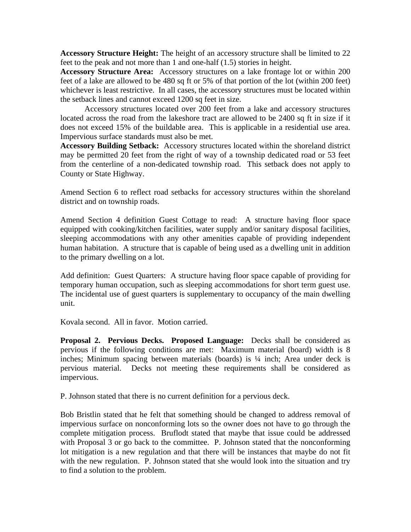**Accessory Structure Height:** The height of an accessory structure shall be limited to 22 feet to the peak and not more than 1 and one-half (1.5) stories in height.

**Accessory Structure Area:** Accessory structures on a lake frontage lot or within 200 feet of a lake are allowed to be 480 sq ft or 5% of that portion of the lot (within 200 feet) whichever is least restrictive. In all cases, the accessory structures must be located within the setback lines and cannot exceed 1200 sq feet in size.

Accessory structures located over 200 feet from a lake and accessory structures located across the road from the lakeshore tract are allowed to be 2400 sq ft in size if it does not exceed 15% of the buildable area. This is applicable in a residential use area. Impervious surface standards must also be met.

**Accessory Building Setback:** Accessory structures located within the shoreland district may be permitted 20 feet from the right of way of a township dedicated road or 53 feet from the centerline of a non-dedicated township road. This setback does not apply to County or State Highway.

Amend Section 6 to reflect road setbacks for accessory structures within the shoreland district and on township roads.

Amend Section 4 definition Guest Cottage to read: A structure having floor space equipped with cooking/kitchen facilities, water supply and/or sanitary disposal facilities, sleeping accommodations with any other amenities capable of providing independent human habitation. A structure that is capable of being used as a dwelling unit in addition to the primary dwelling on a lot.

Add definition: Guest Quarters: A structure having floor space capable of providing for temporary human occupation, such as sleeping accommodations for short term guest use. The incidental use of guest quarters is supplementary to occupancy of the main dwelling unit.

Kovala second. All in favor. Motion carried.

**Proposal 2. Pervious Decks. Proposed Language:** Decks shall be considered as pervious if the following conditions are met: Maximum material (board) width is 8 inches; Minimum spacing between materials (boards) is ¼ inch; Area under deck is pervious material. Decks not meeting these requirements shall be considered as impervious.

P. Johnson stated that there is no current definition for a pervious deck.

Bob Bristlin stated that he felt that something should be changed to address removal of impervious surface on nonconforming lots so the owner does not have to go through the complete mitigation process. Bruflodt stated that maybe that issue could be addressed with Proposal 3 or go back to the committee. P. Johnson stated that the nonconforming lot mitigation is a new regulation and that there will be instances that maybe do not fit with the new regulation. P. Johnson stated that she would look into the situation and try to find a solution to the problem.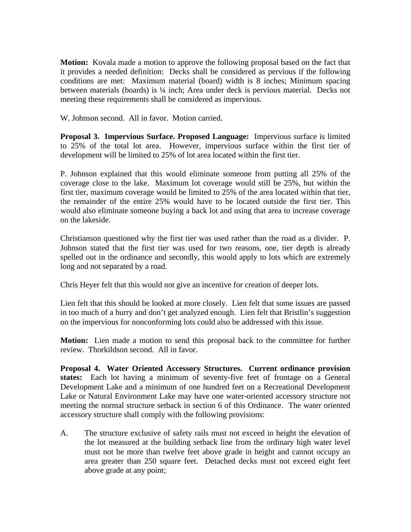**Motion:** Kovala made a motion to approve the following proposal based on the fact that it provides a needed definition: Decks shall be considered as pervious if the following conditions are met: Maximum material (board) width is 8 inches; Minimum spacing between materials (boards) is <sup>1</sup>/4 inch; Area under deck is pervious material. Decks not meeting these requirements shall be considered as impervious.

W. Johnson second. All in favor. Motion carried.

**Proposal 3. Impervious Surface. Proposed Language:** Impervious surface is limited to 25% of the total lot area. However, impervious surface within the first tier of development will be limited to 25% of lot area located within the first tier.

P. Johnson explained that this would eliminate someone from putting all 25% of the coverage close to the lake. Maximum lot coverage would still be 25%, but within the first tier, maximum coverage would be limited to 25% of the area located within that tier, the remainder of the entire 25% would have to be located outside the first tier. This would also eliminate someone buying a back lot and using that area to increase coverage on the lakeside.

Christianson questioned why the first tier was used rather than the road as a divider. P. Johnson stated that the first tier was used for two reasons, one, tier depth is already spelled out in the ordinance and secondly, this would apply to lots which are extremely long and not separated by a road.

Chris Heyer felt that this would not give an incentive for creation of deeper lots.

Lien felt that this should be looked at more closely. Lien felt that some issues are passed in too much of a hurry and don't get analyzed enough. Lien felt that Bristlin's suggestion on the impervious for nonconforming lots could also be addressed with this issue.

**Motion:** Lien made a motion to send this proposal back to the committee for further review. Thorkildson second. All in favor.

**Proposal 4. Water Oriented Accessory Structures. Current ordinance provision states:** Each lot having a minimum of seventy-five feet of frontage on a General Development Lake and a minimum of one hundred feet on a Recreational Development Lake or Natural Environment Lake may have one water-oriented accessory structure not meeting the normal structure setback in section 6 of this Ordinance. The water oriented accessory structure shall comply with the following provisions:

A. The structure exclusive of safety rails must not exceed in height the elevation of the lot measured at the building setback line from the ordinary high water level must not be more than twelve feet above grade in height and cannot occupy an area greater than 250 square feet. Detached decks must not exceed eight feet above grade at any point;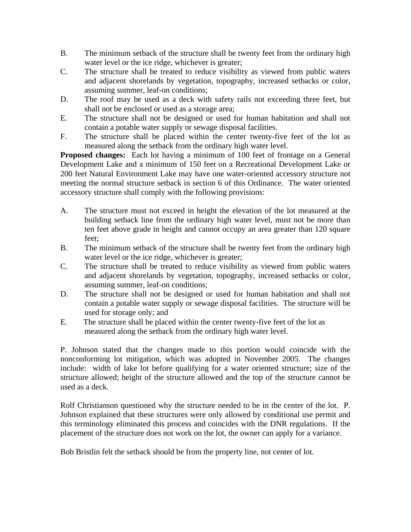- B. The minimum setback of the structure shall be twenty feet from the ordinary high water level or the ice ridge, whichever is greater;
- C. The structure shall be treated to reduce visibility as viewed from public waters and adjacent shorelands by vegetation, topography, increased setbacks or color, assuming summer, leaf-on conditions;
- D. The roof may be used as a deck with safety rails not exceeding three feet, but shall not be enclosed or used as a storage area;
- E. The structure shall not be designed or used for human habitation and shall not contain a potable water supply or sewage disposal facilities.
- F. The structure shall be placed within the center twenty-five feet of the lot as measured along the setback from the ordinary high water level.

**Proposed changes:** Each lot having a minimum of 100 feet of frontage on a General Development Lake and a minimum of 150 feet on a Recreational Development Lake or 200 feet Natural Environment Lake may have one water-oriented accessory structure not meeting the normal structure setback in section 6 of this Ordinance. The water oriented accessory structure shall comply with the following provisions:

- A. The structure must not exceed in height the elevation of the lot measured at the building setback line from the ordinary high water level, must not be more than ten feet above grade in height and cannot occupy an area greater than 120 square feet;
- B. The minimum setback of the structure shall be twenty feet from the ordinary high water level or the ice ridge, whichever is greater;
- C. The structure shall be treated to reduce visibility as viewed from public waters and adjacent shorelands by vegetation, topography, increased setbacks or color, assuming summer, leaf-on conditions;
- D. The structure shall not be designed or used for human habitation and shall not contain a potable water supply or sewage disposal facilities. The structure will be used for storage only; and
- E. The structure shall be placed within the center twenty-five feet of the lot as measured along the setback from the ordinary high water level.

P. Johnson stated that the changes made to this portion would coincide with the nonconforming lot mitigation, which was adopted in November 2005. The changes include: width of lake lot before qualifying for a water oriented structure; size of the structure allowed; height of the structure allowed and the top of the structure cannot be used as a deck.

Rolf Christianson questioned why the structure needed to be in the center of the lot. P. Johnson explained that these structures were only allowed by conditional use permit and this terminology eliminated this process and coincides with the DNR regulations. If the placement of the structure does not work on the lot, the owner can apply for a variance.

Bob Bristlin felt the setback should be from the property line, not center of lot.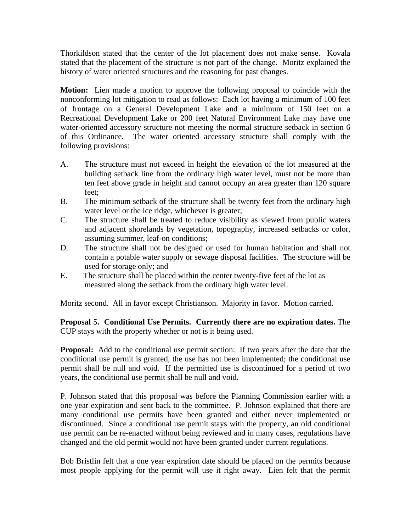Thorkildson stated that the center of the lot placement does not make sense. Kovala stated that the placement of the structure is not part of the change. Moritz explained the history of water oriented structures and the reasoning for past changes.

**Motion:** Lien made a motion to approve the following proposal to coincide with the nonconforming lot mitigation to read as follows: Each lot having a minimum of 100 feet of frontage on a General Development Lake and a minimum of 150 feet on a Recreational Development Lake or 200 feet Natural Environment Lake may have one water-oriented accessory structure not meeting the normal structure setback in section 6 of this Ordinance. The water oriented accessory structure shall comply with the following provisions:

- A. The structure must not exceed in height the elevation of the lot measured at the building setback line from the ordinary high water level, must not be more than ten feet above grade in height and cannot occupy an area greater than 120 square feet;
- B. The minimum setback of the structure shall be twenty feet from the ordinary high water level or the ice ridge, whichever is greater;
- C. The structure shall be treated to reduce visibility as viewed from public waters and adjacent shorelands by vegetation, topography, increased setbacks or color, assuming summer, leaf-on conditions;
- D. The structure shall not be designed or used for human habitation and shall not contain a potable water supply or sewage disposal facilities. The structure will be used for storage only; and
- E. The structure shall be placed within the center twenty-five feet of the lot as measured along the setback from the ordinary high water level.

Moritz second. All in favor except Christianson. Majority in favor. Motion carried.

**Proposal 5. Conditional Use Permits. Currently there are no expiration dates.** The CUP stays with the property whether or not is it being used.

**Proposal:** Add to the conditional use permit section: If two years after the date that the conditional use permit is granted, the use has not been implemented; the conditional use permit shall be null and void. If the permitted use is discontinued for a period of two years, the conditional use permit shall be null and void.

P. Johnson stated that this proposal was before the Planning Commission earlier with a one year expiration and sent back to the committee. P. Johnson explained that there are many conditional use permits have been granted and either never implemented or discontinued. Since a conditional use permit stays with the property, an old conditional use permit can be re-enacted without being reviewed and in many cases, regulations have changed and the old permit would not have been granted under current regulations.

Bob Bristlin felt that a one year expiration date should be placed on the permits because most people applying for the permit will use it right away. Lien felt that the permit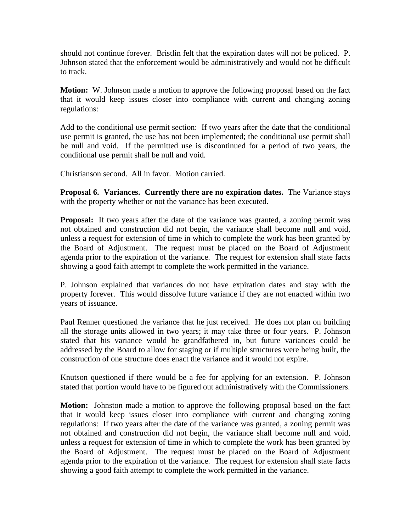should not continue forever. Bristlin felt that the expiration dates will not be policed. P. Johnson stated that the enforcement would be administratively and would not be difficult to track.

**Motion:** W. Johnson made a motion to approve the following proposal based on the fact that it would keep issues closer into compliance with current and changing zoning regulations:

Add to the conditional use permit section: If two years after the date that the conditional use permit is granted, the use has not been implemented; the conditional use permit shall be null and void. If the permitted use is discontinued for a period of two years, the conditional use permit shall be null and void.

Christianson second. All in favor. Motion carried.

**Proposal 6. Variances. Currently there are no expiration dates.** The Variance stays with the property whether or not the variance has been executed.

**Proposal:** If two years after the date of the variance was granted, a zoning permit was not obtained and construction did not begin, the variance shall become null and void, unless a request for extension of time in which to complete the work has been granted by the Board of Adjustment. The request must be placed on the Board of Adjustment agenda prior to the expiration of the variance. The request for extension shall state facts showing a good faith attempt to complete the work permitted in the variance.

P. Johnson explained that variances do not have expiration dates and stay with the property forever. This would dissolve future variance if they are not enacted within two years of issuance.

Paul Renner questioned the variance that he just received. He does not plan on building all the storage units allowed in two years; it may take three or four years. P. Johnson stated that his variance would be grandfathered in, but future variances could be addressed by the Board to allow for staging or if multiple structures were being built, the construction of one structure does enact the variance and it would not expire.

Knutson questioned if there would be a fee for applying for an extension. P. Johnson stated that portion would have to be figured out administratively with the Commissioners.

**Motion:** Johnston made a motion to approve the following proposal based on the fact that it would keep issues closer into compliance with current and changing zoning regulations: If two years after the date of the variance was granted, a zoning permit was not obtained and construction did not begin, the variance shall become null and void, unless a request for extension of time in which to complete the work has been granted by the Board of Adjustment. The request must be placed on the Board of Adjustment agenda prior to the expiration of the variance. The request for extension shall state facts showing a good faith attempt to complete the work permitted in the variance.